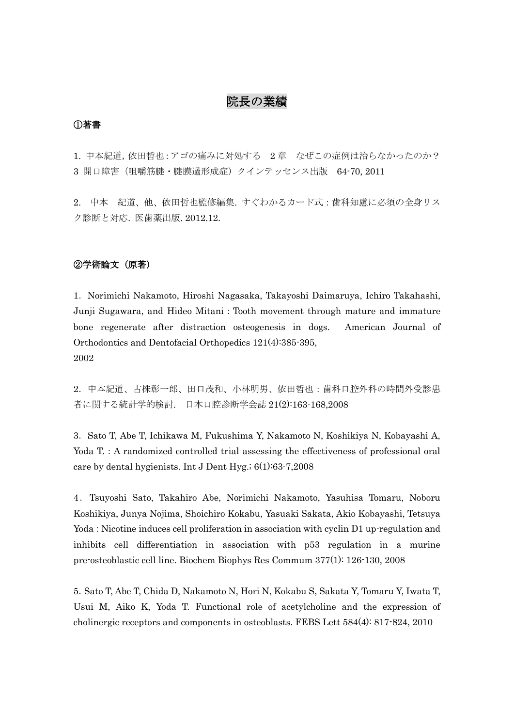# 院長の業績

### ①著書

1. 中本紀道,依田哲也:アゴの痛みに対処する 2 章 なぜこの症例は治らなかったのか? 3 開口障害(咀嚼筋腱・腱膜過形成症)クインテッセンス出版 64-70, 2011

2. 中本 紀道、他、依田哲也監修編集. すぐわかるカード式:歯科知慮に必須の全身リス ク診断と対応. 医歯薬出版. 2012.12.

# ②学術論文(原著)

1.Norimichi Nakamoto, Hiroshi Nagasaka, Takayoshi Daimaruya, Ichiro Takahashi, Junji Sugawara, and Hideo Mitani:Tooth movement through mature and immature bone regenerate after distraction osteogenesis in dogs. American Journal of Orthodontics and Dentofacial Orthopedics 121(4):385-395, 2002

2.中本紀道、古株彰一郎、田口茂和、小林明男、依田哲也:歯科口腔外科の時間外受診患 者に関する統計学的検討. 日本口腔診断学会誌 21(2):163-168,2008

3.Sato T, Abe T, Ichikawa M, Fukushima Y, Nakamoto N, Koshikiya N, Kobayashi A, Yoda T.: A randomized controlled trial assessing the effectiveness of professional oral care by dental hygienists. Int J Dent Hyg.; 6(1):63-7,2008

4.Tsuyoshi Sato, Takahiro Abe, Norimichi Nakamoto, Yasuhisa Tomaru, Noboru Koshikiya, Junya Nojima, Shoichiro Kokabu, Yasuaki Sakata, Akio Kobayashi, Tetsuya Yoda: Nicotine induces cell proliferation in association with cyclin D1 up-regulation and inhibits cell differentiation in association with p53 regulation in a murine pre-osteoblastic cell line. Biochem Biophys Res Commum 377(1): 126-130, 2008

5.Sato T, Abe T, Chida D, Nakamoto N, Hori N, Kokabu S, Sakata Y, Tomaru Y, Iwata T, Usui M, Aiko K, Yoda T. Functional role of acetylcholine and the expression of cholinergic receptors and components in osteoblasts. FEBS Lett 584(4): 817-824, 2010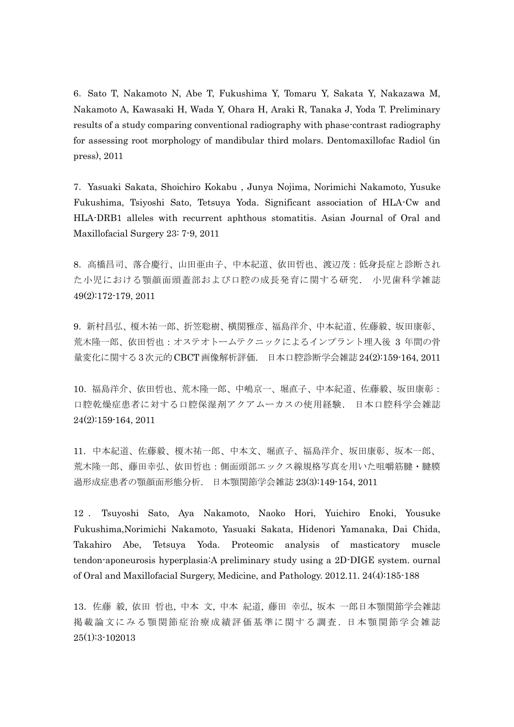6.Sato T, Nakamoto N, Abe T, Fukushima Y, Tomaru Y, Sakata Y, Nakazawa M, Nakamoto A, Kawasaki H, Wada Y, Ohara H, Araki R, Tanaka J, Yoda T. Preliminary results of a study comparing conventional radiography with phase-contrast radiography for assessing root morphology of mandibular third molars. Dentomaxillofac Radiol (in press), 2011

7. Yasuaki Sakata, Shoichiro Kokabu , Junya Nojima, Norimichi Nakamoto, Yusuke Fukushima, Tsiyoshi Sato, Tetsuya Yoda. Significant association of HLA-Cw and HLA-DRB1 alleles with recurrent aphthous stomatitis. Asian Journal of Oral and Maxillofacial Surgery 23: 7-9, 2011

8.高橋昌司、落合慶行、山田亜由子、中本紀道、依田哲也、渡辺茂:低身長症と診断され た小児における顎顔面頭蓋部および口腔の成長発育に関する研究. 小児歯科学雑誌 49(2):172-179, 2011

9.新村昌弘、榎木祐一郎、折笠聡樹、横関雅彦、福島洋介、中本紀道、佐藤毅、坂田康彰、 荒木隆一郎、依田哲也:オステオトームテクニックによるインプラント埋入後 3 年間の骨 量変化に関する 3次元的CBCT画像解析評価. 日本口腔診断学会雑誌 24(2):159-164, 2011

10.福島洋介、依田哲也、荒木隆一郎、中嶋京一、堀直子、中本紀道、佐藤毅、坂田康彰: 口腔乾燥症患者に対する口腔保湿剤アクアムーカスの使用経験. 日本口腔科学会雑誌 24(2):159-164, 2011

11.中本紀道、佐藤毅、榎木祐一郎、中本文、堀直子、福島洋介、坂田康彰、坂本一郎、 荒木隆一郎、藤田幸弘、依田哲也:側面頭部エックス線規格写真を用いた咀嚼筋腱・腱膜 過形成症患者の顎顔面形態分析. 日本顎関節学会雑誌 23(3):149-154, 2011

12 . Tsuyoshi Sato, Aya Nakamoto, Naoko Hori, Yuichiro Enoki, Yousuke Fukushima,Norimichi Nakamoto, Yasuaki Sakata, Hidenori Yamanaka, Dai Chida, Takahiro Abe, Tetsuya Yoda. Proteomic analysis of masticatory muscle tendon-aponeurosis hyperplasia:A preliminary study using a 2D-DIGE system. ournal of Oral and Maxillofacial Surgery, Medicine, and Pathology. 2012.11. 24(4):185-188

13[.佐藤](http://search.jamas.or.jp/api/opensearch?q=%5b%8D%B2%93%A1%8BB%5d/AU) 毅, [依田](http://search.jamas.or.jp/api/opensearch?q=%5b%88%CB%93c%93N%96%E7%5d/AU) 哲也, [中本](http://search.jamas.or.jp/api/opensearch?q=%5b%92%86%96%7B%95%B6%5d/AU) 文, [中本](http://search.jamas.or.jp/api/opensearch?q=%5b%92%86%96%7B%8BI%93%B9%5d/AU) 紀道, [藤田](http://search.jamas.or.jp/api/opensearch?q=%5b%93%A1%93c%8DK%8DO%5d/AU) 幸弘, 坂本 [一郎日](http://search.jamas.or.jp/api/opensearch?q=%5b%8D%E2%96%7B%88%EA%98Y%5d/AU)本顎関節学会雑誌 掲載 論文にみ る顎関節症治 療成績評 価基準に関す る調査 . [日本 顎関節学 会雑誌](http://search.jamas.or.jp/index.php) 25(1):3-102013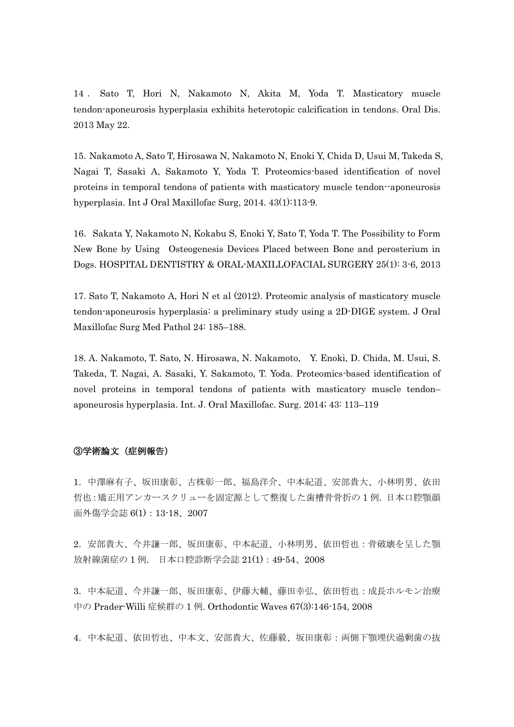14 . Sato T, Hori N, Nakamoto N, Akita M, Yoda T. [Masticatory muscle](http://www.ncbi.nlm.nih.gov/pubmed/23750917)  [tendon-aponeurosis hyperplasia exhibits heterotopic calcification in tendons.](http://www.ncbi.nlm.nih.gov/pubmed/23750917) Oral Dis. 2013 May 22.

15.[Nakamoto A,](http://www.ncbi.nlm.nih.gov/pubmed?term=Nakamoto%20A%5BAuthor%5D&cauthor=true&cauthor_uid=23870541) [Sato T,](http://www.ncbi.nlm.nih.gov/pubmed?term=Sato%20T%5BAuthor%5D&cauthor=true&cauthor_uid=23870541) [Hirosawa N,](http://www.ncbi.nlm.nih.gov/pubmed?term=Hirosawa%20N%5BAuthor%5D&cauthor=true&cauthor_uid=23870541) [Nakamoto N,](http://www.ncbi.nlm.nih.gov/pubmed?term=Nakamoto%20N%5BAuthor%5D&cauthor=true&cauthor_uid=23870541) [Enoki Y,](http://www.ncbi.nlm.nih.gov/pubmed?term=Enoki%20Y%5BAuthor%5D&cauthor=true&cauthor_uid=23870541) [Chida D,](http://www.ncbi.nlm.nih.gov/pubmed?term=Chida%20D%5BAuthor%5D&cauthor=true&cauthor_uid=23870541) [Usui M,](http://www.ncbi.nlm.nih.gov/pubmed?term=Usui%20M%5BAuthor%5D&cauthor=true&cauthor_uid=23870541) [Takeda S,](http://www.ncbi.nlm.nih.gov/pubmed?term=Takeda%20S%5BAuthor%5D&cauthor=true&cauthor_uid=23870541) [Nagai T,](http://www.ncbi.nlm.nih.gov/pubmed?term=Nagai%20T%5BAuthor%5D&cauthor=true&cauthor_uid=23870541) [Sasaki A,](http://www.ncbi.nlm.nih.gov/pubmed?term=Sasaki%20A%5BAuthor%5D&cauthor=true&cauthor_uid=23870541) [Sakamoto Y,](http://www.ncbi.nlm.nih.gov/pubmed?term=Sakamoto%20Y%5BAuthor%5D&cauthor=true&cauthor_uid=23870541) [Yoda T.](http://www.ncbi.nlm.nih.gov/pubmed?term=Yoda%20T%5BAuthor%5D&cauthor=true&cauthor_uid=23870541) Proteomics-based identification of novel proteins in temporal tendons of patients with masticatory muscle tendon--aponeurosis hyperplasia. Int J Oral Maxillofac Surg, 2014. 43(1):113-9.

16. Sakata Y, [Nakamoto N,](http://www.ncbi.nlm.nih.gov/pubmed?term=Nakamoto%20N%5BAuthor%5D&cauthor=true&cauthor_uid=23870541) Kokabu S, [Enoki Y,](http://www.ncbi.nlm.nih.gov/pubmed?term=Enoki%20Y%5BAuthor%5D&cauthor=true&cauthor_uid=23870541) [Sato T,](http://www.ncbi.nlm.nih.gov/pubmed?term=Sato%20T%5BAuthor%5D&cauthor=true&cauthor_uid=23870541) [Yoda T.](http://www.ncbi.nlm.nih.gov/pubmed?term=Yoda%20T%5BAuthor%5D&cauthor=true&cauthor_uid=23870541) The Possibility to Form New Bone by Using Osteogenesis Devices Placed between Bone and perosterium in Dogs. HOSPITAL DENTISTRY & ORAL-MAXILLOFACIAL SURGERY 25(1): 3-6, 2013

17. Sato T, Nakamoto A, Hori N et al (2012). Proteomic analysis of masticatory muscle tendon-aponeurosis hyperplasia: a preliminary study using a 2D-DIGE system. J Oral Maxillofac Surg Med Pathol 24: 185–188.

18. A. Nakamoto, T. Sato, N. Hirosawa, N. Nakamoto, Y. Enoki, D. Chida, M. Usui, S. Takeda, T. Nagai, A. Sasaki, Y. Sakamoto, T. Yoda. Proteomics-based identification of novel proteins in temporal tendons of patients with masticatory muscle tendon– aponeurosis hyperplasia. Int. J. Oral Maxillofac. Surg. 2014; 43: 113–119

# ③学術論文(症例報告)

1.中澤麻有子、坂田康彰、古株彰一郎、福島洋介、中本紀道、安部貴大、小林明男、依田 哲也:矯正用アンカースクリューを固定源として整復した歯槽骨骨折の 1 例. 日本口腔顎顔 面外傷学会誌 6(1):13-18、2007

2.安部貴大、今井謙一郎、坂田康彰、中本紀道、小林明男、依田哲也:骨破壊を呈した顎 放射線菌症の 1 例. 日本口腔診断学会誌 21(1):49-54、2008

3.中本紀道、今井謙一郎、坂田康彰、伊藤大輔、藤田幸弘、依田哲也:成長ホルモン治療 中の Prader-Willi 症候群の 1 例. Orthodontic Waves 67(3):146-154, 2008

4.中本紀道、依田哲也、中本文、安部貴大、佐藤毅、坂田康彰:両側下顎埋伏過剰歯の抜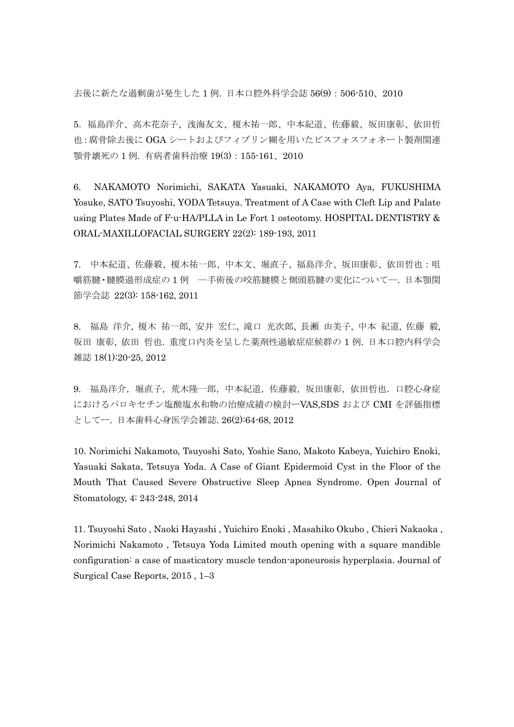去後に新たな過剰歯が発生した 1 例. 日本口腔外科学会誌 56(9):506-510、2010

5.福島洋介、高木花奈子、浅海友文、榎木祐一郎、中本紀道、佐藤毅、坂田康彰、依田哲 也:腐骨除去後に OGA シートおよびフィブリン糊を用いたビスフォスフォネート製剤関連 顎骨壊死の 1 例. 有病者歯科治療 19(3):155-161、2010

6. NAKAMOTO Norimichi, SAKATA Yasuaki, NAKAMOTO Aya, FUKUSHIMA Yosuke, SATO Tsuyoshi, YODA Tetsuya. Treatment of A Case with Cleft Lip and Palate using Plates Made of F-u-HA/PLLA in Le Fort 1 osteotomy. HOSPITAL DENTISTRY & ORAL-MAXILLOFACIAL SURGERY 22(2): 189-193, 2011

7. 中本紀道、佐藤毅、榎木祐一郎、中本文、堀直子、福島洋介、坂田康彰、依田哲也:咀 嚼筋腱・腱膜過形成症の 1 例 ―手術後の咬筋腱膜と側頭筋腱の変化について―. 日本顎関 節学会誌 22(3): 158-162, 2011

8. [福島](http://search.jamas.or.jp/api/opensearch?q=%5b%95%9F%93%87%97m%89%EE%5d/AU) 洋介, 榎木 [祐一郎](http://search.jamas.or.jp/api/opensearch?q=%5b%89%7C%96%D8%97S%88%EA%98Y%5d/AU), 安井 [宏仁](http://search.jamas.or.jp/api/opensearch?q=%5b%88%C0%88%E4%8DG%90m%5d/AU), 滝口 [光次郎](http://search.jamas.or.jp/api/opensearch?q=%5b%91%EA%8C%FB%8C%F5%8E%9F%98Y%5d/AU), 長瀬 [由美子](http://search.jamas.or.jp/api/opensearch?q=%5b%92%B7%90%A3%97R%94%FC%8Eq%5d/AU), 中本 [紀道](http://search.jamas.or.jp/api/opensearch?q=%5b%92%86%96%7B%8BI%93%B9%5d/AU), [佐藤](http://search.jamas.or.jp/api/opensearch?q=%5b%8D%B2%93%A1%8BB%5d/AU) 毅, [坂田](http://search.jamas.or.jp/api/opensearch?q=%5b%8D%E2%93c%8DN%8F%B2%5d/AU) 康彰, [依田](http://search.jamas.or.jp/api/opensearch?q=%5b%88%CB%93c%93N%96%E7%5d/AU) 哲也. 重度口内炎を呈した薬剤性過敏症症候群の 1 例. [日本口腔内科学会](http://search.jamas.or.jp/index.php) [雑誌](http://search.jamas.or.jp/index.php) 18(1):20-25, 2012

9. 福島洋介,堀直子,荒木隆一郎,中本紀道,佐藤毅,坂田康彰,依田哲也.口腔心身症 におけるパロキセチン塩酸塩水和物の治療成績の検討ーVAS,SDS および CMI を評価指標 としてー. 日本歯科心身医学会雑誌. 26(2):64-68, 2012

10. Norimichi Nakamoto, Tsuyoshi Sato, Yoshie Sano, Makoto Kabeya, Yuichiro Enoki, Yasuaki Sakata, Tetsuya Yoda. A Case of Giant Epidermoid Cyst in the Floor of the Mouth That Caused Severe Obstructive Sleep Apnea Syndrome. Open Journal of Stomatology, 4: 243-248, 2014

11. Tsuyoshi Sato , Naoki Hayashi , Yuichiro Enoki , Masahiko Okubo , Chieri Nakaoka , Norimichi Nakamoto , Tetsuya Yoda Limited mouth opening with a square mandible configuration: a case of masticatory muscle tendon-aponeurosis hyperplasia. Journal of Surgical Case Reports, 2015 , 1–3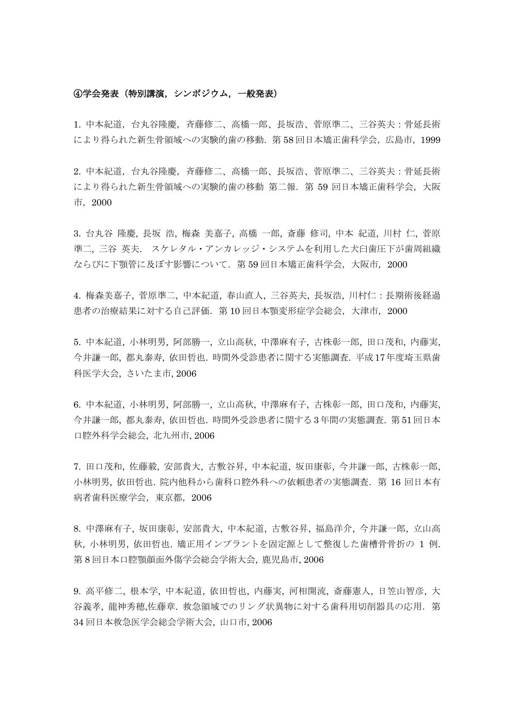#### ④学会発表(特別講演,シンポジウム,一般発表)

1. 中本紀道,台丸谷隆慶,斉藤修二、高橋一郎、長坂浩、菅原準二、三谷英夫:骨延長術 により得られた新生骨領域への実験的歯の移動.第 58 回日本矯正歯科学会,広島市,1999

2. 中本紀道,台丸谷隆慶,斉藤修二、高橋一郎、長坂浩、菅原準二、三谷英夫:骨延長術 により得られた新生骨領域への実験的歯の移動 第二報.第 59 回日本矯正歯科学会,大阪 市,2000

3. [台丸谷](http://search.jamas.or.jp/api/opensearch?q=%5b%91%E4%8A%DB%92J%97%B2%8Cc%5d/AU) 隆慶, [長坂](http://search.jamas.or.jp/api/opensearch?q=%5b%92%B7%8D%E2%8D_%5d/AU) 浩, 梅森 [美嘉子](http://search.jamas.or.jp/api/opensearch?q=%5b%94%7E%90X%94%FC%89%C3%8Eq%5d/AU), [高橋](http://search.jamas.or.jp/api/opensearch?q=%5b%8D%82%8B%B4%88%EA%98Y%5d/AU) 一郎, [斎藤](http://search.jamas.or.jp/api/opensearch?q=%5b%8D%D6%93%A1%8FC%8Ei%5d/AU) 修司, [中本](http://search.jamas.or.jp/api/opensearch?q=%5b%92%86%96%7B%8BI%93%B9%5d/AU) 紀道, [川村](http://search.jamas.or.jp/api/opensearch?q=%5b%90%EC%91%BA%90m%5d/AU) 仁, [菅原](http://search.jamas.or.jp/api/opensearch?q=%5b%90%9B%8C%B4%8F%80%93%F1%5d/AU) [準二](http://search.jamas.or.jp/api/opensearch?q=%5b%90%9B%8C%B4%8F%80%93%F1%5d/AU), [三谷](http://search.jamas.or.jp/api/opensearch?q=%5b%8EO%92J%89p%95v%5d/AU) 英夫. スケレタル・アンカレッジ・システムを利用した犬臼歯圧下が歯周組織 ならびに下顎管に及ぼす影響について.第 59 回日本矯正歯科学会,大阪市,2000

4. 梅森美嘉子, 菅原準二, 中本紀道, 春山直人, 三谷英夫, 長坂浩, 川村仁:長期術後経過 患者の治療結果に対する自己評価.第 10 回日本顎変形症学会総会,大津市,2000

5. 中本紀道, 小林明男, 阿部勝一, 立山高秋, 中澤麻有子, 古株彰一郎, 田口茂和, 内藤実, 今井謙一郎, 都丸泰寿, 依田哲也. 時間外受診患者に関する実態調査. 平成17年度埼玉県歯 科医学大会, さいたま市, 2006

6. 中本紀道, 小林明男, 阿部勝一, 立山高秋, 中澤麻有子, 古株彰一郎, 田口茂和, 内藤実, 今井謙一郎, 都丸泰寿, 依田哲也. 時間外受診患者に関する 3 年間の実態調査. 第 51 回日本 口腔外科学会総会, 北九州市, 2006

7. 田口茂和, 佐藤毅, 安部貴大, 古敷谷昇, 中本紀道, 坂田康彰, 今井謙一郎, 古株彰一郎, 小林明男, 依田哲也. 院内他科から歯科口腔外科への依頼患者の実態調査. 第 16 回日本有 病者歯科医療学会,東京都,2006

8. 中澤麻有子, 坂田康彰, 安部貴大, 中本紀道, 古敷谷昇, 福島洋介, 今井謙一郎, 立山高 秋, 小林明男, 依田哲也. 矯正用インプラントを固定源として整復した歯槽骨骨折の 1 例. 第 8 回日本口腔顎顔面外傷学会総会学術大会, 鹿児島市, 2006

9. 高平修二, 根本学, 中本紀道, 依田哲也, 内藤実, 河相開流, 斎藤憲人, 日笠山智彦, 大 谷義孝, 龍神秀穂,佐藤章. 救急領域でのリング状異物に対する歯科用切削器具の応用.第 34 回日本救急医学会総会学術大会, 山口市, 2006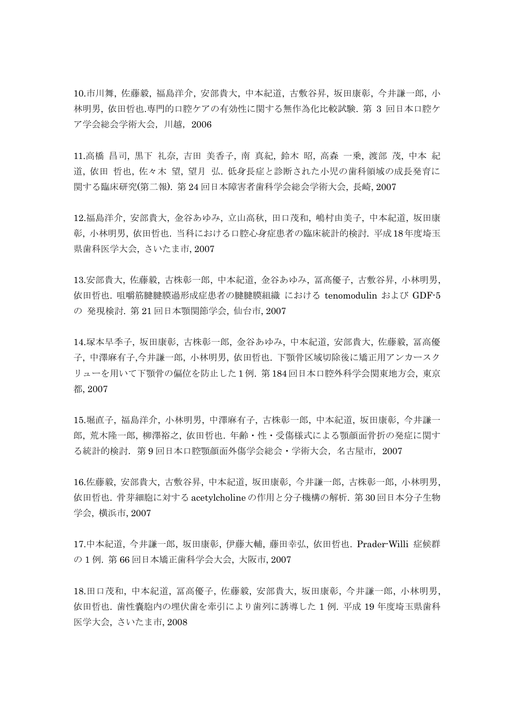10.市川舞, 佐藤毅, 福島洋介, 安部貴大, 中本紀道, 古敷谷昇, 坂田康彰, 今井謙一郎, 小 林明男, 依田哲也.専門的口腔ケアの有効性に関する無作為化比較試験. 第 3 回日本口腔ケ ア学会総会学術大会,川越,2006

11.[高橋](http://search.jamas.or.jp/api/opensearch?q=%5b%8D%82%8B%B4%8F%B9%8Ei%5d/AU) 昌司, 黒下 [礼奈](http://search.jamas.or.jp/api/opensearch?q=%5b%8D%95%89%BA%97%E7%93%DE%5d/AU), 吉田 [美香子](http://search.jamas.or.jp/api/opensearch?q=%5b%8Bg%93c%94%FC%8D%81%8Eq%5d/AU), 南 [真紀](http://search.jamas.or.jp/api/opensearch?q=%5b%93%EC%90%5E%8BI%5d/AU), [鈴木](http://search.jamas.or.jp/api/opensearch?q=%5b%97%E9%96%D8%8F%BA%5d/AU) 昭, [高森](http://search.jamas.or.jp/api/opensearch?q=%5b%8D%82%90X%88%EA%8F%E6%5d/AU) 一乗, [渡部](http://search.jamas.or.jp/api/opensearch?q=%5b%93n%95%94%96%CE%5d/AU) 茂, [中本](http://search.jamas.or.jp/api/opensearch?q=%5b%92%86%96%7B%8BI%93%B9%5d/AU) 紀 [道](http://search.jamas.or.jp/api/opensearch?q=%5b%92%86%96%7B%8BI%93%B9%5d/AU), [依田](http://search.jamas.or.jp/api/opensearch?q=%5b%88%CB%93c%93N%96%E7%5d/AU) 哲也, [佐々木](http://search.jamas.or.jp/api/opensearch?q=%5b%8D%B2%81X%96%D8%96%5D%5d/AU) 望, [望月](http://search.jamas.or.jp/api/opensearch?q=%5b%96%5D%8C%8E%8DO%5d/AU) 弘. 低身長症と診断された小児の歯科領域の成長発育に 関する臨床研究(第二報). 第 24 回日本障害者歯科学会総会学術大会, 長崎, 2007

12.福島洋介, 安部貴大, 金谷あゆみ, 立山高秋, 田口茂和, 嶋村由美子, 中本紀道, 坂田康 彰, 小林明男, 依田哲也. 当科における口腔心身症患者の臨床統計的検討. 平成18年度埼玉 県歯科医学大会, さいたま市, 2007

13.安部貴大, 佐藤毅, 古株彰一郎, 中本紀道, 金谷あゆみ, 冨髙優子, 古敷谷昇, 小林明男, 依田哲也. 咀嚼筋腱腱膜過形成症患者の腱腱膜組織 における tenomodulin および GDF-5 の 発現検討. 第 21 回日本顎関節学会, 仙台市, 2007

14.塚本早季子, 坂田康彰, 古株彰一郎, 金谷あゆみ, 中本紀道, 安部貴大, 佐藤毅, 冨高優 子, 中澤麻有子,今井謙一郎, 小林明男, 依田哲也. 下顎骨区域切除後に矯正用アンカースク リューを用いて下顎骨の偏位を防止した 1 例. 第 184 回日本口腔外科学会関東地方会, 東京 都, 2007

15.堀直子, 福島洋介, 小林明男, 中澤麻有子, 古株彰一郎, 中本紀道, 坂田康彰, 今井謙一 郎, 荒木隆一郎, 柳澤裕之, 依田哲也. 年齢・性・受傷様式による顎顔面骨折の発症に関す る統計的検討.第 9 回日本口腔顎顔面外傷学会総会・学術大会,名古屋市,2007

16.佐藤毅, 安部貴大, 古敷谷昇, 中本紀道, 坂田康彰, 今井謙一郎, 古株彰一郎, 小林明男, 依田哲也. 骨芽細胞に対する acetylcholine の作用と分子機構の解析. 第 30 回日本分子生物 学会, 横浜市, 2007

17.中本紀道, 今井謙一郎, 坂田康彰, 伊藤大輔, 藤田幸弘, 依田哲也. Prader-Willi 症候群 の 1 例. 第 66 回日本矯正歯科学会大会, 大阪市, 2007

18.田口茂和, 中本紀道, 冨高優子, 佐藤毅, 安部貴大, 坂田康彰, 今井謙一郎, 小林明男, 依田哲也. 歯性嚢胞内の埋伏歯を牽引により歯列に誘導した 1 例. 平成 19 年度埼玉県歯科 医学大会, さいたま市, 2008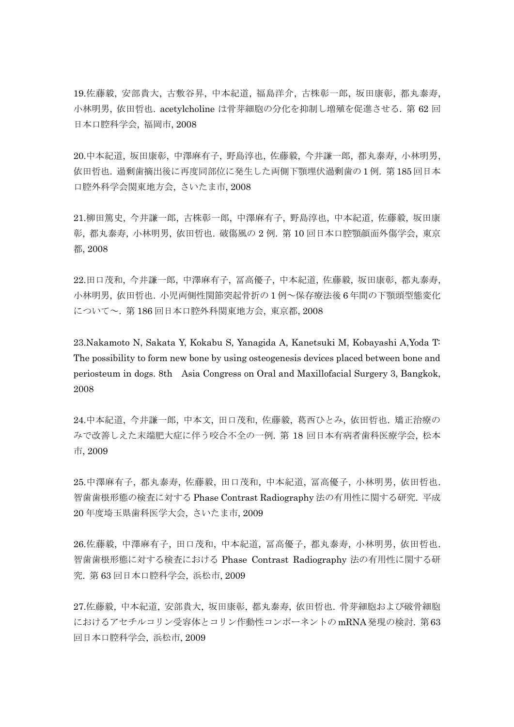19.佐藤毅, 安部貴大, 古敷谷昇, 中本紀道, 福島洋介, 古株彰一郎, 坂田康彰, 都丸泰寿, 小林明男, 依田哲也. acetylcholine は骨芽細胞の分化を抑制し増殖を促進させる. 第 62 回 日本口腔科学会, 福岡市, 2008

20.中本紀道, 坂田康彰, 中澤麻有子, 野島淳也, 佐藤毅, 今井謙一郎, 都丸泰寿, 小林明男, 依田哲也. 過剰歯摘出後に再度同部位に発生した両側下顎埋伏過剰歯の 1 例. 第 185 回日本 口腔外科学会関東地方会, さいたま市, 2008

21.柳田篤史, 今井謙一郎, 古株彰一郎, 中澤麻有子, 野島淳也, 中本紀道, 佐藤毅, 坂田康 彰, 都丸泰寿, 小林明男, 依田哲也. 破傷風の 2 例. 第 10 回日本口腔顎顔面外傷学会, 東京 都, 2008

22.田口茂和, 今井謙一郎, 中澤麻有子, 冨高優子, 中本紀道, 佐藤毅, 坂田康彰, 都丸泰寿, 小林明男, 依田哲也. 小児両側性関節突起骨折の 1 例~保存療法後 6 年間の下顎頭型態変化 について~. 第 186 回日本口腔外科関東地方会, 東京都, 2008

23.Nakamoto N, Sakata Y, Kokabu S, Yanagida A, Kanetsuki M, Kobayashi A,Yoda T: The possibility to form new bone by using osteogenesis devices placed between bone and periosteum in dogs. 8th Asia Congress on Oral and Maxillofacial Surgery 3, Bangkok, 2008

24.中本紀道, 今井謙一郎, 中本文, 田口茂和, 佐藤毅, 葛西ひとみ, 依田哲也. 矯正治療の みで改善しえた末端肥大症に伴う咬合不全の一例. 第 18 回日本有病者歯科医療学会, 松本 市, 2009

25.中澤麻有子, 都丸泰寿, 佐藤毅, 田口茂和, 中本紀道, 冨高優子, 小林明男, 依田哲也. 智歯歯根形態の検査に対する Phase Contrast Radiography 法の有用性に関する研究. 平成 20 年度埼玉県歯科医学大会, さいたま市, 2009

26.佐藤毅, 中澤麻有子, 田口茂和, 中本紀道, 冨高優子, 都丸泰寿, 小林明男, 依田哲也. 智歯歯根形態に対する検査における Phase Contrast Radiography 法の有用性に関する研 究. 第 63 回日本口腔科学会, 浜松市, 2009

27.佐藤毅, 中本紀道, 安部貴大, 坂田康彰, 都丸泰寿, 依田哲也. 骨芽細胞および破骨細胞 におけるアセチルコリン受容体とコリン作動性コンポーネントのmRNA発現の検討. 第63 回日本口腔科学会, 浜松市, 2009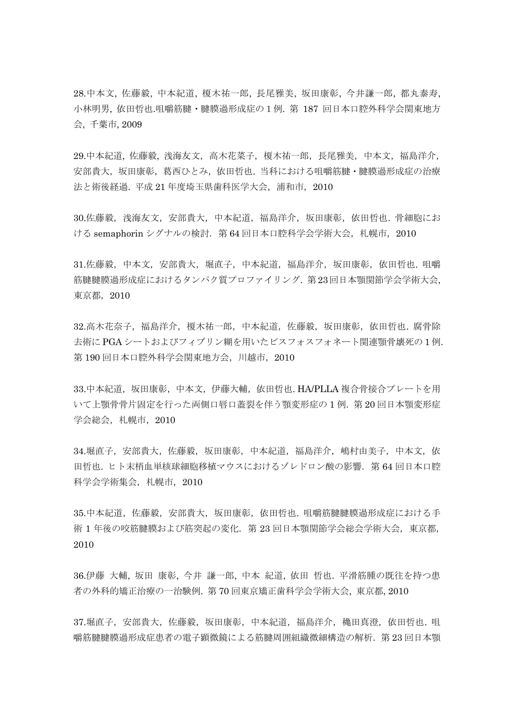28.中本文, 佐藤毅, 中本紀道, 榎木祐一郎, 長尾雅美, 坂田康彰, 今井謙一郎, 都丸泰寿, 小林明男, 依田哲也.咀嚼筋腱・腱膜過形成症の1例. 第 187 回日本口腔外科学会関東地方 会, 千葉市, 2009

29.中本紀道, 佐藤毅, 浅海友文, 高木花菜子, 榎木祐一郎, 長尾雅美, 中本文, 福島洋介, 安部貴大,坂田康彰,葛西ひとみ,依田哲也.当科における咀嚼筋腱・腱膜過形成症の治療 法と術後経過. 平成 21年度埼玉県歯科医学大会, 浦和市, 2010

30.佐藤毅,浅海友文,安部貴大,中本紀道,福島洋介,坂田康彰,依田哲也. 骨細胞にお ける semaphorin シグナルの検討. 第 64 回日本口腔科学会学術大会, 札幌市, 2010

31.佐藤毅, 中本文, 安部貴大, 堀直子, 中本紀道, 福島洋介, 坂田康彰, 依田哲也. 咀嚼 筋腱腱膜過形成症におけるタンパク質プロファイリング. 第23回日本顎関節学会学術大会, 東京都,2010

32.高木花奈子,福島洋介,榎木祐一郎,中本紀道,佐藤毅,坂田康彰,依田哲也.腐骨除 去術に PGA シートおよびフィブリン糊を用いたビスフォスフォネート関連顎骨壊死の 1 例. 第 190 回日本口腔外科学会関東地方会,川越市,2010

33.中本紀道,坂田康彰,中本文,伊藤大輔,依田哲也. HA/PLLA 複合骨接合プレートを用 いて上顎骨骨片固定を行った両側口唇口蓋裂を伴う顎変形症の 1 例.第 20 回日本顎変形症 学会総会, 札幌市, 2010

34.堀直子,安部貴大,佐藤毅,坂田康彰,中本紀道,福島洋介,嶋村由美子,中本文,依 田哲也. ヒト末梢血単核球細胞移植マウスにおけるゾレドロン酸の影響.第 64 回日本口腔 科学会学術集会,札幌市,2010

35.中本紀道,佐藤毅,安部貴大,坂田康彰,依田哲也. 咀嚼筋腱腱膜過形成症における手 術 1 年後の咬筋腱膜および筋突起の変化.第 23 回日本顎関節学会総会学術大会,東京都, 2010

36.[伊藤](http://search.jamas.or.jp/api/opensearch?q=%5b%88%C9%93%A1%91%E5%95%E3%5d/AU) 大輔, [坂田](http://search.jamas.or.jp/api/opensearch?q=%5b%8D%E2%93c%8DN%8F%B2%5d/AU) 康彰, 今井 [謙一郎](http://search.jamas.or.jp/api/opensearch?q=%5b%8D%A1%88%E4%8C%AA%88%EA%98Y%5d/AU), [中本](http://search.jamas.or.jp/api/opensearch?q=%5b%92%86%96%7B%8BI%93%B9%5d/AU) 紀道, [依田](http://search.jamas.or.jp/api/opensearch?q=%5b%88%CB%93c%93N%96%E7%5d/AU) 哲也. 平滑筋腫の既往を持つ患 者の外科的矯正治療の一治験例. 第 70 [回東京矯正歯科学会学](http://search.jamas.or.jp/index.php?sid=1&module=Advanced&action=Index&logaction=changepage&pp=30&q=%92%86%96%7B%81%40%8BI%93%B9&pageID=2)術大会, 東京都, 2010

37.堀直子,安部貴大,佐藤毅,坂田康彰,中本紀道,福島洋介,穐田真澄,依田哲也. 咀 嚼筋腱腱膜過形成症患者の電子顕微鏡による筋腱周囲組織微細構造の解析.第 23 回日本顎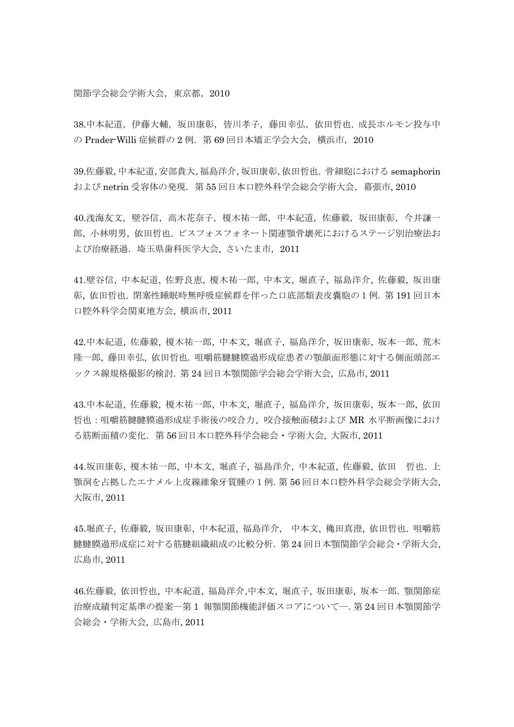#### 関節学会総会学術大会,東京都,2010

38.中本紀道,伊藤大輔,坂田康彰,皆川孝子,藤田幸弘,依田哲也. 成長ホルモン投与中 の Prader-Willi 症候群の 2 例. 第 69 回日本矯正学会大会,横浜市, 2010

39.佐藤毅,中本紀道,安部貴大,福島洋介,坂田康彰,依田哲也. 骨細胞における semaphorin および netrin 受容体の発現.第 55 回日本口腔外科学会総会学術大会,幕張市, 2010

40.浅海友文,壁谷信,高木花奈子,榎木祐一郎,中本紀道,佐藤毅,坂田康彰,今井謙一 郎,小林明男,依田哲也. ビスフォスフォネート関連顎骨壊死におけるステージ別治療法お よび治療経過. 埼玉県歯科医学大会, さいたま市, 2011

41.壁谷信, 中本紀道, 佐野良恵, 榎木祐一郎, 中本文, 堀直子, 福島洋介, 佐藤毅, 坂田康 彰, 依田哲也. 閉塞性睡眠時無呼吸症候群を伴った口底部類表皮嚢胞の1例.第 191 回日本 口腔外科学会関東地方会, 横浜市, 2011

42.中本紀道, 佐藤毅, 榎木祐一郎, 中本文, 堀直子, 福島洋介, 坂田康彰, 坂本一郎, 荒木 隆一郎, 藤田幸弘, 依田哲也. 咀嚼筋腱腱膜過形成症患者の顎顔面形態に対する側面頭部エ ックス線規格撮影的検討. 第 24 回日本顎関節学会総会学術大会, 広島市, 2011

43.中本紀道, 佐藤毅, 榎木祐一郎, 中本文, 堀直子, 福島洋介, 坂田康彰, 坂本一郎, 依田 哲也:咀嚼筋腱腱膜過形成症手術後の咬合力、咬合接触面積および MR 水平断画像におけ る筋断面積の変化.第 56 回日本口腔外科学会総会・学術大会, 大阪市, 2011

44.坂田康彰, 榎木祐一郎, 中本文, 堀直子, 福島洋介, 中本紀道, 佐藤毅, 依田 哲也. 上 顎洞を占拠したエナメル上皮線維象牙質腫の1例.第 56 回日本口腔外科学会総会学術大会, 大阪市, 2011

45.堀直子, 佐藤毅, 坂田康彰, 中本紀道, 福島洋介, 中本文, 穐田真澄, 依田哲也. 咀嚼筋 腱腱膜過形成症に対する筋腱組織組成の比較分析.第 24 回日本顎関節学会総会・学術大会, 広島市, 2011

46.佐藤毅, 依田哲也, 中本紀道, 福島洋介,中本文, 堀直子, 坂田康彰, 坂本一郎. 顎関節症 治療成績判定基準の提案―第 1 報顎関節機能評価スコアについて―.第 24 回日本顎関節学 会総会・学術大会, 広島市, 2011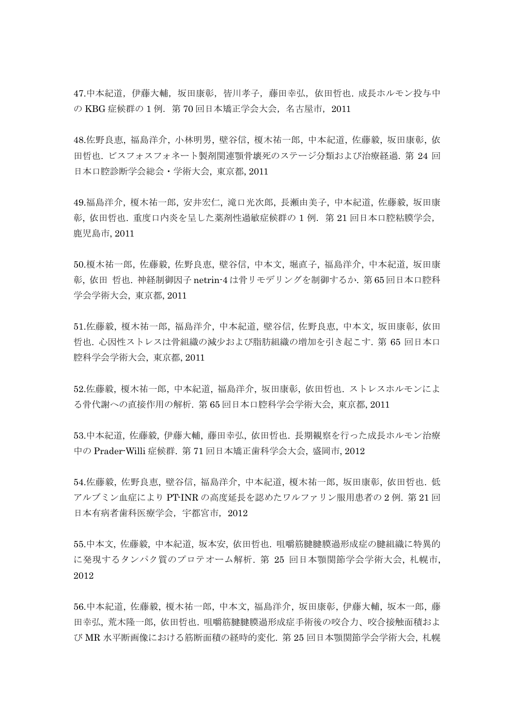47.中本紀道,伊藤大輔,坂田康彰,皆川孝子,藤田幸弘,依田哲也. 成長ホルモン投与中 の KBG 症候群の 1 例. 第 70 回日本矯正学会大会, 名古屋市, 2011

48.[佐野良恵](http://search.jamas.or.jp/api/opensearch?q=%5b%8D%B2%96%EC%97%C7%8Cb%5d/AU), [福島洋介](http://search.jamas.or.jp/api/opensearch?q=%5b%95%9F%93%87%97m%89%EE%5d/AU), [小林明男](http://search.jamas.or.jp/api/opensearch?q=%5b%8F%AC%97%D1%96%BE%92j%5d/AU), [壁谷信](http://search.jamas.or.jp/api/opensearch?q=%5b%95%C7%92J%90M%5d/AU), [榎木祐一郎](http://search.jamas.or.jp/api/opensearch?q=%5b%89%7C%96%D8%97S%88%EA%98Y%5d/AU), [中本紀道](http://search.jamas.or.jp/api/opensearch?q=%5b%92%86%96%7B%8BI%93%B9%5d/AU), [佐藤毅](http://search.jamas.or.jp/api/opensearch?q=%5b%8D%B2%93%A1%8BB%5d/AU), [坂田康彰](http://search.jamas.or.jp/api/opensearch?q=%5b%8D%E2%93c%8DN%8F%B2%5d/AU), [依](http://search.jamas.or.jp/api/opensearch?q=%5b%88%CB%93c%93N%96%E7%5d/AU) [田哲也](http://search.jamas.or.jp/api/opensearch?q=%5b%88%CB%93c%93N%96%E7%5d/AU). ビスフォスフォネート製剤関連顎骨壊死のステージ分類および治療経過. 第 24 回 日本口腔診断学会総会・学術大会, 東京都, 2011

49.福島洋介, 榎木祐一郎, 安井宏仁, 滝口光次郎, 長瀬由美子, 中本紀道, 佐藤毅, 坂田康 彰, 依田哲也. 重度口内炎を呈した薬剤性過敏症候群の 1 例.第 21 回日本口腔粘膜学会, 鹿児島市, 2011

50.[榎木祐一郎](http://search.jamas.or.jp/api/opensearch?q=%5b%89%7C%96%D8%97S%88%EA%98Y%5d/AU), [佐藤毅](http://search.jamas.or.jp/api/opensearch?q=%5b%8D%B2%93%A1%8BB%5d/AU), [佐野良恵](http://search.jamas.or.jp/api/opensearch?q=%5b%8D%B2%96%EC%97%C7%8Cb%5d/AU), [壁谷信](http://search.jamas.or.jp/api/opensearch?q=%5b%95%C7%92J%90M%5d/AU), [中本文](http://search.jamas.or.jp/api/opensearch?q=%5b%92%86%96%7B%95%B6%5d/AU), [堀直子](http://search.jamas.or.jp/api/opensearch?q=%5b%96x%92%BC%8Eq%5d/AU), [福島洋介](http://search.jamas.or.jp/api/opensearch?q=%5b%95%9F%93%87%97m%89%EE%5d/AU), [中本紀道](http://search.jamas.or.jp/api/opensearch?q=%5b%92%86%96%7B%8BI%93%B9%5d/AU), [坂田康](http://search.jamas.or.jp/api/opensearch?q=%5b%8D%E2%93c%8DN%8F%B2%5d/AU) [彰](http://search.jamas.or.jp/api/opensearch?q=%5b%8D%E2%93c%8DN%8F%B2%5d/AU), [依田](http://search.jamas.or.jp/api/opensearch?q=%5b%88%CB%93c%93N%96%E7%5d/AU) 哲也. 神経制御因子 netrin-4 は骨リモデリングを制御するか. 第 65 [回日本口腔科](http://search.jamas.or.jp/index.php) [学会学](http://search.jamas.or.jp/index.php)術大会, 東京都, 2011

51.[佐藤毅](http://search.jamas.or.jp/api/opensearch?q=%5b%8D%B2%93%A1%8BB%5d/AU), [榎木祐一郎](http://search.jamas.or.jp/api/opensearch?q=%5b%89%7C%96%D8%97S%88%EA%98Y%5d/AU), [福島洋介](http://search.jamas.or.jp/api/opensearch?q=%5b%95%9F%93%87%97m%89%EE%5d/AU), [中本紀道](http://search.jamas.or.jp/api/opensearch?q=%5b%92%86%96%7B%8BI%93%B9%5d/AU), [壁谷信](http://search.jamas.or.jp/api/opensearch?q=%5b%95%C7%92J%90M%5d/AU), [佐野良恵](http://search.jamas.or.jp/api/opensearch?q=%5b%8D%B2%96%EC%97%C7%8Cb%5d/AU), [中本文](http://search.jamas.or.jp/api/opensearch?q=%5b%92%86%96%7B%95%B6%5d/AU), [坂田康彰](http://search.jamas.or.jp/api/opensearch?q=%5b%8D%E2%93c%8DN%8F%B2%5d/AU), [依田](http://search.jamas.or.jp/api/opensearch?q=%5b%88%CB%93c%93N%96%E7%5d/AU) [哲也](http://search.jamas.or.jp/api/opensearch?q=%5b%88%CB%93c%93N%96%E7%5d/AU). 心因性ストレスは骨組織の減少および脂肪組織の増加を引き起こす. 第 65 [回日本口](http://search.jamas.or.jp/index.php) [腔科学会学](http://search.jamas.or.jp/index.php)術大会, 東京都, 2011

52.[佐藤毅](http://search.jamas.or.jp/api/opensearch?q=%5b%8D%B2%93%A1%8BB%5d/AU), [榎木祐一郎](http://search.jamas.or.jp/api/opensearch?q=%5b%89%7C%96%D8%97S%88%EA%98Y%5d/AU), [中本紀道](http://search.jamas.or.jp/api/opensearch?q=%5b%92%86%96%7B%8BI%93%B9%5d/AU), [福島洋介](http://search.jamas.or.jp/api/opensearch?q=%5b%95%9F%93%87%97m%89%EE%5d/AU), [坂田康彰](http://search.jamas.or.jp/api/opensearch?q=%5b%8D%E2%93c%8DN%8F%B2%5d/AU), [依田哲也](http://search.jamas.or.jp/api/opensearch?q=%5b%88%CB%93c%93N%96%E7%5d/AU). ストレスホルモンによ る骨代謝への直接作用の解析. 第 65 [回日本口腔科学会学](http://search.jamas.or.jp/index.php)術大会, 東京都, 2011

53.[中本紀道](http://search.jamas.or.jp/api/opensearch?q=%5b%92%86%96%7B%8BI%93%B9%5d/AU), [佐藤毅](http://search.jamas.or.jp/api/opensearch?q=%5b%8D%B2%93%A1%8BB%5d/AU), [伊藤大輔](http://search.jamas.or.jp/api/opensearch?q=%5b%88%C9%93%A1%91%E5%95%E3%5d/AU), [藤田幸弘](http://search.jamas.or.jp/api/opensearch?q=%5b%93%A1%93c%8DK%8DO%5d/AU), [依田哲也](http://search.jamas.or.jp/api/opensearch?q=%5b%88%CB%93c%93N%96%E7%5d/AU). 長期観察を行った成長ホルモン治療 中の Prader-Willi 症候群. 第 71 [回日本矯正歯科学会大会](http://search.jamas.or.jp/index.php), 盛岡市, 2012

54.[佐藤毅](http://search.jamas.or.jp/api/opensearch?q=%5b%8D%B2%93%A1%8BB%5d/AU), [佐野良恵](http://search.jamas.or.jp/api/opensearch?q=%5b%8D%B2%96%EC%97%C7%8Cb%5d/AU), [壁谷信](http://search.jamas.or.jp/api/opensearch?q=%5b%95%C7%92J%90M%5d/AU), [福島洋介](http://search.jamas.or.jp/api/opensearch?q=%5b%95%9F%93%87%97m%89%EE%5d/AU), [中本紀道](http://search.jamas.or.jp/api/opensearch?q=%5b%92%86%96%7B%8BI%93%B9%5d/AU), [榎木祐一郎](http://search.jamas.or.jp/api/opensearch?q=%5b%89%7C%96%D8%97S%88%EA%98Y%5d/AU), [坂田康彰](http://search.jamas.or.jp/api/opensearch?q=%5b%8D%E2%93c%8DN%8F%B2%5d/AU), [依田哲也](http://search.jamas.or.jp/api/opensearch?q=%5b%88%CB%93c%93N%96%E7%5d/AU). 低 アルブミン血症により PT-INR の高度延長を認めたワルファリン服用患者の 2 例. 第 21 回 日本有病者歯科医療学会,宇都宮市,2012

55.[中本文](http://search.jamas.or.jp/api/opensearch?q=%5b%92%86%96%7B%95%B6%5d/AU), [佐藤毅](http://search.jamas.or.jp/api/opensearch?q=%5b%8D%B2%93%A1%8BB%5d/AU), [中本紀道](http://search.jamas.or.jp/api/opensearch?q=%5b%92%86%96%7B%8BI%93%B9%5d/AU), [坂本安](http://search.jamas.or.jp/api/opensearch?q=%5b%8D%E2%96%7B%88%C0%5d/AU), [依田哲也](http://search.jamas.or.jp/api/opensearch?q=%5b%88%CB%93c%93N%96%E7%5d/AU). 咀嚼筋腱腱膜過形成症の腱組織に特異的 に発現するタンパク質のプロテオーム解析. 第 25 [回日本顎関節学会学](http://search.jamas.or.jp/index.php)術大会, 札幌市, 2012

56.[中本紀道](http://search.jamas.or.jp/api/opensearch?q=%5b%92%86%96%7B%8BI%93%B9%5d/AU), [佐藤毅](http://search.jamas.or.jp/api/opensearch?q=%5b%8D%B2%93%A1%8BB%5d/AU), [榎木祐一郎](http://search.jamas.or.jp/api/opensearch?q=%5b%89%7C%96%D8%97S%88%EA%98Y%5d/AU), [中本文](http://search.jamas.or.jp/api/opensearch?q=%5b%92%86%96%7B%95%B6%5d/AU), [福島洋介](http://search.jamas.or.jp/api/opensearch?q=%5b%95%9F%93%87%97m%89%EE%5d/AU), [坂田康彰](http://search.jamas.or.jp/api/opensearch?q=%5b%8D%E2%93c%8DN%8F%B2%5d/AU), [伊藤大輔](http://search.jamas.or.jp/api/opensearch?q=%5b%88%C9%93%A1%91%E5%95%E3%5d/AU), [坂本一郎](http://search.jamas.or.jp/api/opensearch?q=%5b%8D%E2%96%7B%88%EA%98Y%5d/AU), [藤](http://search.jamas.or.jp/api/opensearch?q=%5b%93%A1%93c%8DK%8DO%5d/AU) [田幸弘](http://search.jamas.or.jp/api/opensearch?q=%5b%93%A1%93c%8DK%8DO%5d/AU), [荒木隆一郎](http://search.jamas.or.jp/api/opensearch?q=%5b%8Dr%96%D8%97%B2%88%EA%98Y%5d/AU), [依田哲也](http://search.jamas.or.jp/api/opensearch?q=%5b%88%CB%93c%93N%96%E7%5d/AU). 咀嚼筋腱腱膜過形成症手術後の咬合力、咬合接触面積およ び MR 水平断画像における筋断面積の経時的変化. 第 25 [回日本顎関節学会学](http://search.jamas.or.jp/index.php)術大会, 札幌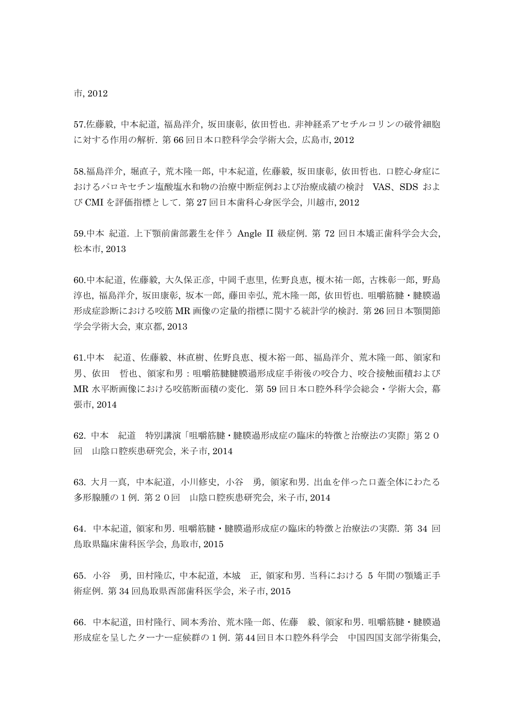市, 2012

57.[佐藤毅](http://search.jamas.or.jp/api/opensearch?q=%5b%8D%B2%93%A1%8BB%5d/AU), [中本紀道](http://search.jamas.or.jp/api/opensearch?q=%5b%92%86%96%7B%8BI%93%B9%5d/AU), [福島洋介](http://search.jamas.or.jp/api/opensearch?q=%5b%95%9F%93%87%97m%89%EE%5d/AU), [坂田康彰](http://search.jamas.or.jp/api/opensearch?q=%5b%8D%E2%93c%8DN%8F%B2%5d/AU), [依田哲也](http://search.jamas.or.jp/api/opensearch?q=%5b%88%CB%93c%93N%96%E7%5d/AU). 非神経系アセチルコリンの破骨細胞 に対する作用の解析. 第 66 [回日本口腔科学会学](http://search.jamas.or.jp/index.php)術大会, 広島市, 2012

58.[福島洋介](http://search.jamas.or.jp/api/opensearch?q=%5b%95%9F%93%87%97m%89%EE%5d/AU), [堀直子](http://search.jamas.or.jp/api/opensearch?q=%5b%96x%92%BC%8Eq%5d/AU), [荒木隆一郎](http://search.jamas.or.jp/api/opensearch?q=%5b%8Dr%96%D8%97%B2%88%EA%98Y%5d/AU), [中本紀道](http://search.jamas.or.jp/api/opensearch?q=%5b%92%86%96%7B%8BI%93%B9%5d/AU), [佐藤毅](http://search.jamas.or.jp/api/opensearch?q=%5b%8D%B2%93%A1%8BB%5d/AU), [坂田康彰](http://search.jamas.or.jp/api/opensearch?q=%5b%8D%E2%93c%8DN%8F%B2%5d/AU), [依田哲也](http://search.jamas.or.jp/api/opensearch?q=%5b%88%CB%93c%93N%96%E7%5d/AU). 口腔心身症に おけるパロキセチン塩酸塩水和物の治療中断症例および治療成績の検討 VAS、SDS およ び CMI を評価指標として. 第 27 [回日本歯科心身医学会](http://search.jamas.or.jp/index.php), 川越市, 2012

59.[中本](http://search.jamas.or.jp/api/opensearch?q=%5b%92%86%96%7B%8BI%93%B9%5d/AU) 紀道. 上下顎前歯部叢生を伴う Angle II 級症例. 第 72 [回日本矯正歯科学会大会](http://search.jamas.or.jp/index.php), 松本市, 2013

60.[中本紀道](http://search.jamas.or.jp/api/opensearch?q=%5b%92%86%96%7B%8BI%93%B9%5d/AU), [佐藤毅](http://search.jamas.or.jp/api/opensearch?q=%5b%8D%B2%93%A1%8BB%5d/AU), [大久保正彦](http://search.jamas.or.jp/api/opensearch?q=%5b%91%E5%8Bv%95%DB%90%B3%95F%5d/AU), [中岡千恵里](http://search.jamas.or.jp/api/opensearch?q=%5b%92%86%89%AA%90%E7%8Cb%97%A2%5d/AU), [佐野良恵](http://search.jamas.or.jp/api/opensearch?q=%5b%8D%B2%96%EC%97%C7%8Cb%5d/AU), [榎木祐一郎](http://search.jamas.or.jp/api/opensearch?q=%5b%89%7C%96%D8%97S%88%EA%98Y%5d/AU), [古株彰一郎](http://search.jamas.or.jp/api/opensearch?q=%5b%8C%C3%8A%94%8F%B2%88%EA%98Y%5d/AU), [野島](http://search.jamas.or.jp/api/opensearch?q=%5b%96%EC%93%87%8F%7E%96%E7%5d/AU) [淳也](http://search.jamas.or.jp/api/opensearch?q=%5b%96%EC%93%87%8F%7E%96%E7%5d/AU), [福島洋介](http://search.jamas.or.jp/api/opensearch?q=%5b%95%9F%93%87%97m%89%EE%5d/AU), [坂田康彰](http://search.jamas.or.jp/api/opensearch?q=%5b%8D%E2%93c%8DN%8F%B2%5d/AU), [坂本一郎](http://search.jamas.or.jp/api/opensearch?q=%5b%8D%E2%96%7B%88%EA%98Y%5d/AU), [藤田幸弘](http://search.jamas.or.jp/api/opensearch?q=%5b%93%A1%93c%8DK%8DO%5d/AU), [荒木隆一郎](http://search.jamas.or.jp/api/opensearch?q=%5b%8Dr%96%D8%97%B2%88%EA%98Y%5d/AU), [依田哲也](http://search.jamas.or.jp/api/opensearch?q=%5b%88%CB%93c%93N%96%E7%5d/AU). 咀嚼筋腱・腱膜過 形成症診断における咬筋 MR 画像の定量的指標に関する統計学的検討. 第 26 [回日本顎関節](http://search.jamas.or.jp/index.php) [学会学](http://search.jamas.or.jp/index.php)術大会, 東京都, 2013

61.中本 紀道、佐藤毅、林直樹、佐野良恵、榎木裕一郎、福島洋介、荒木隆一郎、領家和 男、依田 哲也、領家和男:咀嚼筋腱腱膜過形成症手術後の咬合力、咬合接触面積および MR 水平断画像における咬筋断面積の変化.第 59 回日本口腔外科学会総会・学術大会, 幕 張市, 2014

62. 中本 紀道 特別講演「咀嚼筋腱・腱膜過形成症の臨床的特徴と治療法の実際」第20 回 山陰口腔疾患研究会, 米子市, 2014

63. 大月一真,中本紀道,小川修史,小谷 勇,領家和男. 出血を伴った口蓋全体にわたる 多形腺腫の1例. 第20回 山陰口腔疾患研究会, 米子市, 2014

64.中本紀道, 領家和男. 咀嚼筋腱・腱膜過形成症の臨床的特徴と治療法の実際. 第 34 回 鳥取県臨床歯科医学会, 鳥取市, 2015

65.小谷 勇, 田村隆広, 中本紀道, 本城 正, 領家和男. 当科における 5 年間の顎矯正手 術症例. 第 34 回鳥取県西部歯科医学会, 米子市, 2015

66.中本紀道, 田村隆行、岡本秀治、荒木隆一郎、佐藤 毅、領家和男. 咀嚼筋腱・腱膜過 形成症を呈したターナー症候群の1例. 第44回日本口腔外科学会 中国四国支部学術集会,